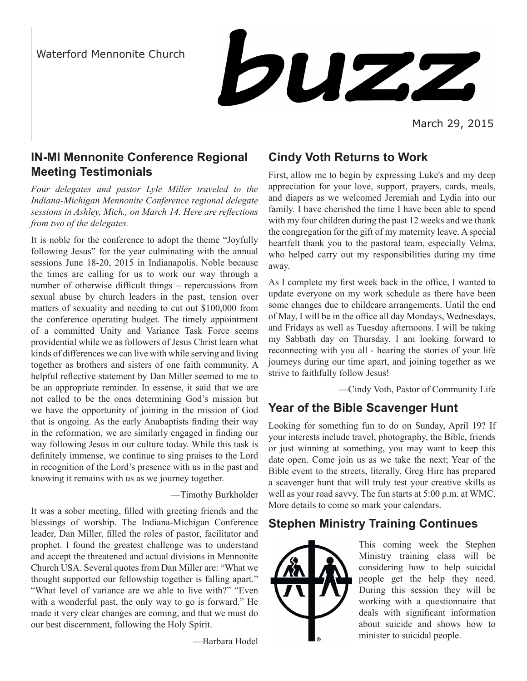

March 29, 2015

### **IN-MI Mennonite Conference Regional Meeting Testimonials**

*Four delegates and pastor Lyle Miller traveled to the Indiana-Michigan Mennonite Conference regional delegate sessions in Ashley, Mich., on March 14. Here are reflections from two of the delegates.*

It is noble for the conference to adopt the theme "Joyfully following Jesus" for the year culminating with the annual sessions June 18-20, 2015 in Indianapolis. Noble because the times are calling for us to work our way through a number of otherwise difficult things – repercussions from sexual abuse by church leaders in the past, tension over matters of sexuality and needing to cut out \$100,000 from the conference operating budget. The timely appointment of a committed Unity and Variance Task Force seems providential while we as followers of Jesus Christ learn what kinds of differences we can live with while serving and living together as brothers and sisters of one faith community. A helpful reflective statement by Dan Miller seemed to me to be an appropriate reminder. In essense, it said that we are not called to be the ones determining God's mission but we have the opportunity of joining in the mission of God that is ongoing. As the early Anabaptists finding their way in the reformation, we are similarly engaged in finding our way following Jesus in our culture today. While this task is definitely immense, we continue to sing praises to the Lord in recognition of the Lord's presence with us in the past and knowing it remains with us as we journey together.

—Timothy Burkholder

It was a sober meeting, filled with greeting friends and the blessings of worship. The Indiana-Michigan Conference leader, Dan Miller, filled the roles of pastor, facilitator and prophet. I found the greatest challenge was to understand and accept the threatened and actual divisions in Mennonite Church USA. Several quotes from Dan Miller are: "What we thought supported our fellowship together is falling apart." "What level of variance are we able to live with?" "Even with a wonderful past, the only way to go is forward." He made it very clear changes are coming, and that we must do our best discernment, following the Holy Spirit.

—Barbara Hodel

# **Cindy Voth Returns to Work**

First, allow me to begin by expressing Luke's and my deep appreciation for your love, support, prayers, cards, meals, and diapers as we welcomed Jeremiah and Lydia into our family. I have cherished the time I have been able to spend with my four children during the past 12 weeks and we thank the congregation for the gift of my maternity leave. A special heartfelt thank you to the pastoral team, especially Velma, who helped carry out my responsibilities during my time away.

As I complete my first week back in the office, I wanted to update everyone on my work schedule as there have been some changes due to childcare arrangements. Until the end of May, I will be in the office all day Mondays, Wednesdays, and Fridays as well as Tuesday afternoons. I will be taking my Sabbath day on Thursday. I am looking forward to reconnecting with you all - hearing the stories of your life journeys during our time apart, and joining together as we strive to faithfully follow Jesus!

—Cindy Voth, Pastor of Community Life

# **Year of the Bible Scavenger Hunt**

Looking for something fun to do on Sunday, April 19? If your interests include travel, photography, the Bible, friends or just winning at something, you may want to keep this date open. Come join us as we take the next; Year of the Bible event to the streets, literally. Greg Hire has prepared a scavenger hunt that will truly test your creative skills as well as your road savvy. The fun starts at 5:00 p.m. at WMC. More details to come so mark your calendars.

# **Stephen Ministry Training Continues**



This coming week the Stephen Ministry training class will be considering how to help suicidal people get the help they need. During this session they will be working with a questionnaire that deals with significant information about suicide and shows how to minister to suicidal people.